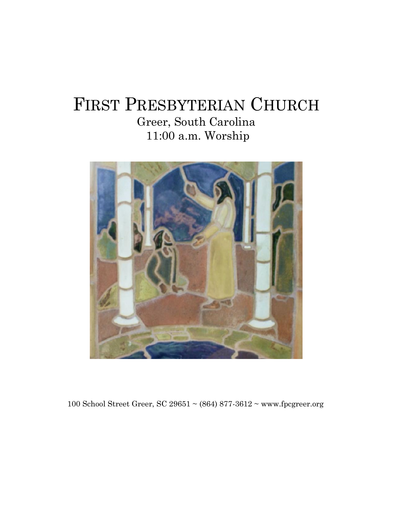## FIRST PRESBYTERIAN CHURCH Greer, South Carolina 11:00 a.m. Worship



100 School Street Greer, SC 29651 ~ (864) 877-3612 ~ www.fpcgreer.org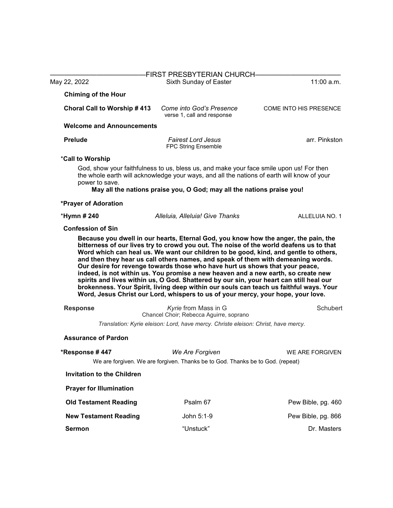|                                   | FIRST PRESBYTERIAN CHURCH-                                                                                                                                                                                                                                                                                                                                                                                                                                                                                                                                                                                             |                        |
|-----------------------------------|------------------------------------------------------------------------------------------------------------------------------------------------------------------------------------------------------------------------------------------------------------------------------------------------------------------------------------------------------------------------------------------------------------------------------------------------------------------------------------------------------------------------------------------------------------------------------------------------------------------------|------------------------|
| May 22, 2022                      | Sixth Sunday of Easter                                                                                                                                                                                                                                                                                                                                                                                                                                                                                                                                                                                                 | 11:00 a.m.             |
| <b>Chiming of the Hour</b>        |                                                                                                                                                                                                                                                                                                                                                                                                                                                                                                                                                                                                                        |                        |
| Choral Call to Worship #413       | Come into God's Presence<br>verse 1, call and response                                                                                                                                                                                                                                                                                                                                                                                                                                                                                                                                                                 | COME INTO HIS PRESENCE |
| <b>Welcome and Announcements</b>  |                                                                                                                                                                                                                                                                                                                                                                                                                                                                                                                                                                                                                        |                        |
| <b>Prelude</b>                    | <b>Fairest Lord Jesus</b><br>FPC String Ensemble                                                                                                                                                                                                                                                                                                                                                                                                                                                                                                                                                                       | arr. Pinkston          |
| *Call to Worship                  |                                                                                                                                                                                                                                                                                                                                                                                                                                                                                                                                                                                                                        |                        |
| power to save.                    | God, show your faithfulness to us, bless us, and make your face smile upon us! For then<br>the whole earth will acknowledge your ways, and all the nations of earth will know of your<br>May all the nations praise you, O God; may all the nations praise you!                                                                                                                                                                                                                                                                                                                                                        |                        |
| *Prayer of Adoration              |                                                                                                                                                                                                                                                                                                                                                                                                                                                                                                                                                                                                                        |                        |
| *Hymn # 240                       | Alleluia, Alleluia! Give Thanks                                                                                                                                                                                                                                                                                                                                                                                                                                                                                                                                                                                        | ALLELUIA NO. 1         |
| <b>Confession of Sin</b>          |                                                                                                                                                                                                                                                                                                                                                                                                                                                                                                                                                                                                                        |                        |
|                                   | Word which can heal us. We want our children to be good, kind, and gentle to others,<br>and then they hear us call others names, and speak of them with demeaning words.<br>Our desire for revenge towards those who have hurt us shows that your peace,<br>indeed, is not within us. You promise a new heaven and a new earth, so create new<br>spirits and lives within us, O God. Shattered by our sin, your heart can still heal our<br>brokenness. Your Spirit, living deep within our souls can teach us faithful ways. Your<br>Word, Jesus Christ our Lord, whispers to us of your mercy, your hope, your love. |                        |
| <b>Response</b>                   | Kyrie from Mass in G                                                                                                                                                                                                                                                                                                                                                                                                                                                                                                                                                                                                   | <b>Schubert</b>        |
|                                   | Chancel Choir; Rebecca Aguirre, soprano                                                                                                                                                                                                                                                                                                                                                                                                                                                                                                                                                                                |                        |
|                                   | Translation: Kyrie eleison: Lord, have mercy. Christe eleison: Christ, have mercy.                                                                                                                                                                                                                                                                                                                                                                                                                                                                                                                                     |                        |
| <b>Assurance of Pardon</b>        |                                                                                                                                                                                                                                                                                                                                                                                                                                                                                                                                                                                                                        |                        |
| *Response #447                    | We Are Forgiven<br>We are forgiven. We are forgiven. Thanks be to God. Thanks be to God. (repeat)                                                                                                                                                                                                                                                                                                                                                                                                                                                                                                                      | WE ARE FORGIVEN        |
| <b>Invitation to the Children</b> |                                                                                                                                                                                                                                                                                                                                                                                                                                                                                                                                                                                                                        |                        |
| <b>Prayer for Illumination</b>    |                                                                                                                                                                                                                                                                                                                                                                                                                                                                                                                                                                                                                        |                        |
| <b>Old Testament Reading</b>      | Psalm 67                                                                                                                                                                                                                                                                                                                                                                                                                                                                                                                                                                                                               | Pew Bible, pg. 460     |
| <b>New Testament Reading</b>      | John 5:1-9                                                                                                                                                                                                                                                                                                                                                                                                                                                                                                                                                                                                             | Pew Bible, pg. 866     |
| <b>Sermon</b>                     | "Unstuck"                                                                                                                                                                                                                                                                                                                                                                                                                                                                                                                                                                                                              | Dr. Masters            |
|                                   |                                                                                                                                                                                                                                                                                                                                                                                                                                                                                                                                                                                                                        |                        |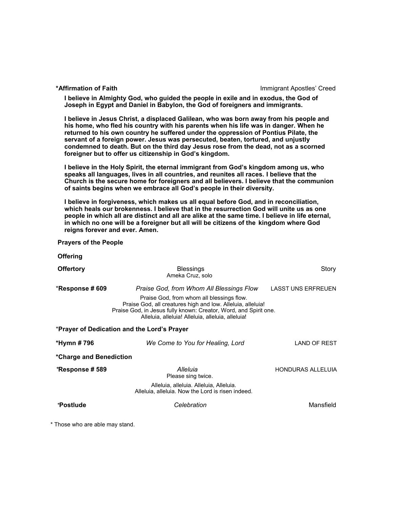**\*Affirmation of Faith** Immigrant Apostles' Creed

**I believe in Almighty God, who guided the people in exile and in exodus, the God of Joseph in Egypt and Daniel in Babylon, the God of foreigners and immigrants.** 

**I believe in Jesus Christ, a displaced Galilean, who was born away from his people and his home, who fled his country with his parents when his life was in danger. When he returned to his own country he suffered under the oppression of Pontius Pilate, the servant of a foreign power. Jesus was persecuted, beaten, tortured, and unjustly condemned to death. But on the third day Jesus rose from the dead, not as a scorned foreigner but to offer us citizenship in God's kingdom.**

**I believe in the Holy Spirit, the eternal immigrant from God's kingdom among us, who speaks all languages, lives in all countries, and reunites all races. I believe that the Church is the secure home for foreigners and all believers. I believe that the communion of saints begins when we embrace all God's people in their diversity.**

**I believe in forgiveness, which makes us all equal before God, and in reconciliation, which heals our brokenness. I believe that in the resurrection God will unite us as one people in which all are distinct and all are alike at the same time. I believe in life eternal, in which no one will be a foreigner but all will be citizens of the kingdom where God reigns forever and ever. Amen.**

 **Prayers of the People**

**Offering** 

| <b>Offertory</b>                            | <b>Blessings</b><br>Ameka Cruz, solo                                                                                                                                                                                              | Story                     |  |  |
|---------------------------------------------|-----------------------------------------------------------------------------------------------------------------------------------------------------------------------------------------------------------------------------------|---------------------------|--|--|
| *Response # 609                             | Praise God, from Whom All Blessings Flow                                                                                                                                                                                          | <b>LASST UNS ERFREUEN</b> |  |  |
|                                             | Praise God, from whom all blessings flow.<br>Praise God, all creatures high and low. Alleluia, alleluia!<br>Praise God, in Jesus fully known: Creator, Word, and Spirit one.<br>Alleluia, alleluia! Alleluia, alleluia, alleluia! |                           |  |  |
| *Prayer of Dedication and the Lord's Prayer |                                                                                                                                                                                                                                   |                           |  |  |
| *Hymn # 796                                 | We Come to You for Healing, Lord                                                                                                                                                                                                  | LAND OF REST              |  |  |
| *Charge and Benediction                     |                                                                                                                                                                                                                                   |                           |  |  |
| *Response # 589                             | Alleluia<br>Please sing twice.                                                                                                                                                                                                    | <b>HONDURAS ALLELUIA</b>  |  |  |
|                                             | Alleluia, alleluia. Alleluia, Alleluia.<br>Alleluia, alleluia. Now the Lord is risen indeed.                                                                                                                                      |                           |  |  |
| *Postlude                                   | Celebration                                                                                                                                                                                                                       | Mansfield                 |  |  |
|                                             |                                                                                                                                                                                                                                   |                           |  |  |

\* Those who are able may stand.